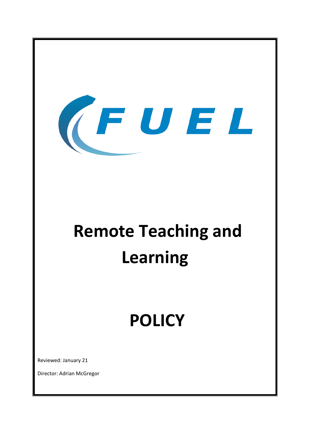

# **Remote Teaching and Learning**

# **POLICY**

Reviewed: January 21

Director: Adrian McGregor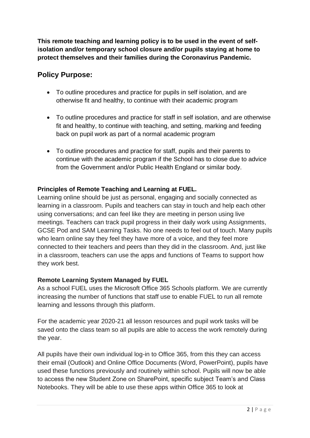**This remote teaching and learning policy is to be used in the event of selfisolation and/or temporary school closure and/or pupils staying at home to protect themselves and their families during the Coronavirus Pandemic.**

## **Policy Purpose:**

- To outline procedures and practice for pupils in self isolation, and are otherwise fit and healthy, to continue with their academic program
- To outline procedures and practice for staff in self isolation, and are otherwise fit and healthy, to continue with teaching, and setting, marking and feeding back on pupil work as part of a normal academic program
- To outline procedures and practice for staff, pupils and their parents to continue with the academic program if the School has to close due to advice from the Government and/or Public Health England or similar body.

#### **Principles of Remote Teaching and Learning at FUEL.**

Learning online should be just as personal, engaging and socially connected as learning in a classroom. Pupils and teachers can stay in touch and help each other using conversations; and can feel like they are meeting in person using live meetings. Teachers can track pupil progress in their daily work using Assignments, GCSE Pod and SAM Learning Tasks. No one needs to feel out of touch. Many pupils who learn online say they feel they have more of a voice, and they feel more connected to their teachers and peers than they did in the classroom. And, just like in a classroom, teachers can use the apps and functions of Teams to support how they work best.

#### **Remote Learning System Managed by FUEL**

As a school FUEL uses the Microsoft Office 365 Schools platform. We are currently increasing the number of functions that staff use to enable FUEL to run all remote learning and lessons through this platform.

For the academic year 2020-21 all lesson resources and pupil work tasks will be saved onto the class team so all pupils are able to access the work remotely during the year.

All pupils have their own individual log-in to Office 365, from this they can access their email (Outlook) and Online Office Documents (Word, PowerPoint), pupils have used these functions previously and routinely within school. Pupils will now be able to access the new Student Zone on SharePoint, specific subject Team's and Class Notebooks. They will be able to use these apps within Office 365 to look at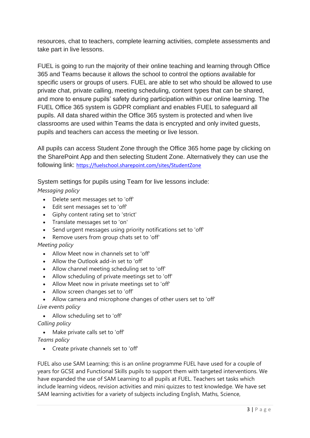resources, chat to teachers, complete learning activities, complete assessments and take part in live lessons.

FUEL is going to run the majority of their online teaching and learning through Office 365 and Teams because it allows the school to control the options available for specific users or groups of users. FUEL are able to set who should be allowed to use private chat, private calling, meeting scheduling, content types that can be shared, and more to ensure pupils' safety during participation within our online learning. The FUEL Office 365 system is GDPR compliant and enables FUEL to safeguard all pupils. All data shared within the Office 365 system is protected and when live classrooms are used within Teams the data is encrypted and only invited guests, pupils and teachers can access the meeting or live lesson.

All pupils can access Student Zone through the Office 365 home page by clicking on the SharePoint App and then selecting Student Zone. Alternatively they can use the following link: <https://fuelschool.sharepoint.com/sites/StudentZone>

System settings for pupils using Team for live lessons include:

*Messaging policy*

- Delete sent messages set to 'off'
- Edit sent messages set to 'off'
- Giphy content rating set to 'strict'
- Translate messages set to 'on'
- Send urgent messages using priority notifications set to 'off'
- Remove users from group chats set to 'off'

#### *Meeting policy*

- Allow Meet now in channels set to 'off'
- Allow the Outlook add-in set to 'off'
- Allow channel meeting scheduling set to 'off'
- Allow scheduling of private meetings set to 'off'
- Allow Meet now in private meetings set to 'off'
- Allow screen changes set to 'off'
- Allow camera and microphone changes of other users set to 'off'

*Live events policy*

• Allow scheduling set to 'off'

*Calling policy*

• Make private calls set to 'off'

*Teams policy*

• Create private channels set to 'off'

FUEL also use SAM Learning; this is an online programme FUEL have used for a couple of years for GCSE and Functional Skills pupils to support them with targeted interventions. We have expanded the use of SAM Learning to all pupils at FUEL. Teachers set tasks which include learning videos, revision activities and mini quizzes to test knowledge. We have set SAM learning activities for a variety of subjects including English, Maths, Science,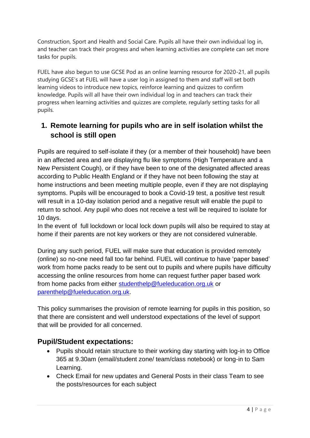Construction, Sport and Health and Social Care. Pupils all have their own individual log in, and teacher can track their progress and when learning activities are complete can set more tasks for pupils.

FUEL have also begun to use GCSE Pod as an online learning resource for 2020-21, all pupils studying GCSE's at FUEL will have a user log in assigned to them and staff will set both learning videos to introduce new topics, reinforce learning and quizzes to confirm knowledge. Pupils will all have their own individual log in and teachers can track their progress when learning activities and quizzes are complete, regularly setting tasks for all pupils.

# **1. Remote learning for pupils who are in self isolation whilst the school is still open**

Pupils are required to self-isolate if they (or a member of their household) have been in an affected area and are displaying flu like symptoms (High Temperature and a New Persistent Cough), or if they have been to one of the designated affected areas according to Public Health England or if they have not been following the stay at home instructions and been meeting multiple people, even if they are not displaying symptoms. Pupils will be encouraged to book a Covid-19 test, a positive test result will result in a 10-day isolation period and a negative result will enable the pupil to return to school. Any pupil who does not receive a test will be required to isolate for 10 days.

In the event of full lockdown or local lock down pupils will also be required to stay at home if their parents are not key workers or they are not considered vulnerable.

During any such period, FUEL will make sure that education is provided remotely (online) so no-one need fall too far behind. FUEL will continue to have 'paper based' work from home packs ready to be sent out to pupils and where pupils have difficulty accessing the online resources from home can request further paper based work from home packs from either [studenthelp@fueleducation.org.uk](mailto:studenthelp@fueleducation.org.uk) or [parenthelp@fueleducation.org.uk.](mailto:parenthelp@fueleducation.org.uk)

This policy summarises the provision of remote learning for pupils in this position, so that there are consistent and well understood expectations of the level of support that will be provided for all concerned.

#### **Pupil/Student expectations:**

- Pupils should retain structure to their working day starting with log-in to Office 365 at 9.30am (email/student zone/ team/class notebook) or long-in to Sam Learning.
- Check Email for new updates and General Posts in their class Team to see the posts/resources for each subject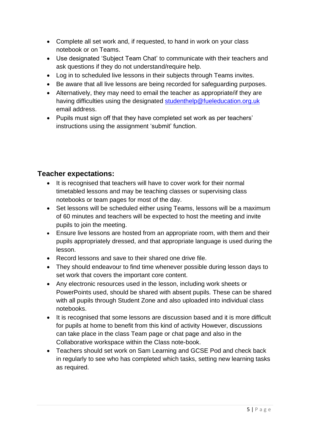- Complete all set work and, if requested, to hand in work on your class notebook or on Teams.
- Use designated 'Subject Team Chat' to communicate with their teachers and ask questions if they do not understand/require help.
- Log in to scheduled live lessons in their subjects through Teams invites.
- Be aware that all live lessons are being recorded for safeguarding purposes.
- Alternatively, they may need to email the teacher as appropriate/if they are having difficulties using the designated [studenthelp@fueleducation.org.uk](mailto:studenthelp@fueleducation.org.uk) email address.
- Pupils must sign off that they have completed set work as per teachers' instructions using the assignment 'submit' function.

# **Teacher expectations:**

- It is recognised that teachers will have to cover work for their normal timetabled lessons and may be teaching classes or supervising class notebooks or team pages for most of the day.
- Set lessons will be scheduled either using Teams, lessons will be a maximum of 60 minutes and teachers will be expected to host the meeting and invite pupils to join the meeting.
- Ensure live lessons are hosted from an appropriate room, with them and their pupils appropriately dressed, and that appropriate language is used during the lesson.
- Record lessons and save to their shared one drive file.
- They should endeavour to find time whenever possible during lesson days to set work that covers the important core content.
- Any electronic resources used in the lesson, including work sheets or PowerPoints used, should be shared with absent pupils. These can be shared with all pupils through Student Zone and also uploaded into individual class notebooks.
- It is recognised that some lessons are discussion based and it is more difficult for pupils at home to benefit from this kind of activity However, discussions can take place in the class Team page or chat page and also in the Collaborative workspace within the Class note-book.
- Teachers should set work on Sam Learning and GCSE Pod and check back in regularly to see who has completed which tasks, setting new learning tasks as required.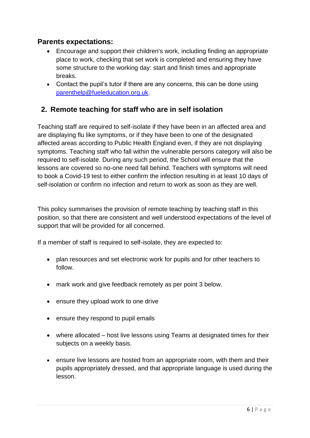#### **Parents expectations:**

- Encourage and support their children's work, including finding an appropriate place to work, checking that set work is completed and ensuring they have some structure to the working day: start and finish times and appropriate breaks.
- Contact the pupil's tutor if there are any concerns, this can be done using [parenthelp@fueleducation.org.uk.](mailto:parenthelp@fueleducation.org.uk)

# **2. Remote teaching for staff who are in self isolation**

Teaching staff are required to self-isolate if they have been in an affected area and are displaying flu like symptoms, or if they have been to one of the designated affected areas according to Public Health England even, if they are not displaying symptoms. Teaching staff who fall within the vulnerable persons category will also be required to self-isolate. During any such period, the School will ensure that the lessons are covered so no-one need fall behind. Teachers with symptoms will need to book a Covid-19 test to either confirm the infection resulting in at least 10 days of self-isolation or confirm no infection and return to work as soon as they are well.

This policy summarises the provision of remote teaching by teaching staff in this position, so that there are consistent and well understood expectations of the level of support that will be provided for all concerned.

If a member of staff is required to self-isolate, they are expected to:

- plan resources and set electronic work for pupils and for other teachers to follow.
- mark work and give feedback remotely as per point 3 below.
- ensure they upload work to one drive
- ensure they respond to pupil emails
- where allocated host live lessons using Teams at designated times for their subjects on a weekly basis.
- ensure live lessons are hosted from an appropriate room, with them and their pupils appropriately dressed, and that appropriate language is used during the lesson.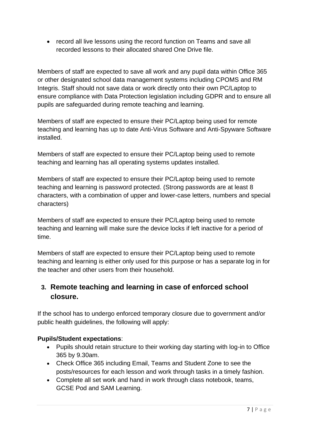• record all live lessons using the record function on Teams and save all recorded lessons to their allocated shared One Drive file.

Members of staff are expected to save all work and any pupil data within Office 365 or other designated school data management systems including CPOMS and RM Integris. Staff should not save data or work directly onto their own PC/Laptop to ensure compliance with Data Protection legislation including GDPR and to ensure all pupils are safeguarded during remote teaching and learning.

Members of staff are expected to ensure their PC/Laptop being used for remote teaching and learning has up to date Anti-Virus Software and Anti-Spyware Software installed.

Members of staff are expected to ensure their PC/Laptop being used to remote teaching and learning has all operating systems updates installed.

Members of staff are expected to ensure their PC/Laptop being used to remote teaching and learning is password protected. (Strong passwords are at least 8 characters, with a combination of upper and lower-case letters, numbers and special characters)

Members of staff are expected to ensure their PC/Laptop being used to remote teaching and learning will make sure the device locks if left inactive for a period of time.

Members of staff are expected to ensure their PC/Laptop being used to remote teaching and learning is either only used for this purpose or has a separate log in for the teacher and other users from their household.

# **3. Remote teaching and learning in case of enforced school closure.**

If the school has to undergo enforced temporary closure due to government and/or public health guidelines, the following will apply:

#### **Pupils/Student expectations**:

- Pupils should retain structure to their working day starting with log-in to Office 365 by 9.30am.
- Check Office 365 including Email, Teams and Student Zone to see the posts/resources for each lesson and work through tasks in a timely fashion.
- Complete all set work and hand in work through class notebook, teams, GCSE Pod and SAM Learning.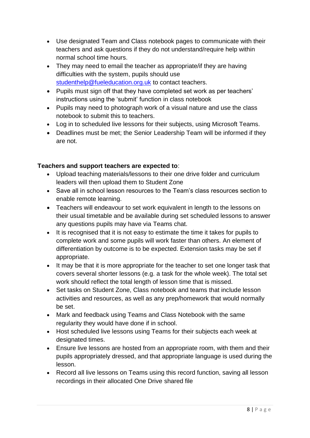- Use designated Team and Class notebook pages to communicate with their teachers and ask questions if they do not understand/require help within normal school time hours.
- They may need to email the teacher as appropriate/if they are having difficulties with the system, pupils should use [studenthelp@fueleducation.org.uk](mailto:studenthelp@fueleducation.org.uk) to contact teachers.
- Pupils must sign off that they have completed set work as per teachers' instructions using the 'submit' function in class notebook
- Pupils may need to photograph work of a visual nature and use the class notebook to submit this to teachers.
- Log in to scheduled live lessons for their subjects, using Microsoft Teams.
- Deadlines must be met; the Senior Leadership Team will be informed if they are not.

#### **Teachers and support teachers are expected to**:

- Upload teaching materials/lessons to their one drive folder and curriculum leaders will then upload them to Student Zone
- Save all in school lesson resources to the Team's class resources section to enable remote learning.
- Teachers will endeavour to set work equivalent in length to the lessons on their usual timetable and be available during set scheduled lessons to answer any questions pupils may have via Teams chat.
- It is recognised that it is not easy to estimate the time it takes for pupils to complete work and some pupils will work faster than others. An element of differentiation by outcome is to be expected. Extension tasks may be set if appropriate.
- It may be that it is more appropriate for the teacher to set one longer task that covers several shorter lessons (e.g. a task for the whole week). The total set work should reflect the total length of lesson time that is missed.
- Set tasks on Student Zone, Class notebook and teams that include lesson activities and resources, as well as any prep/homework that would normally be set.
- Mark and feedback using Teams and Class Notebook with the same regularity they would have done if in school.
- Host scheduled live lessons using Teams for their subjects each week at designated times.
- Ensure live lessons are hosted from an appropriate room, with them and their pupils appropriately dressed, and that appropriate language is used during the lesson.
- Record all live lessons on Teams using this record function, saving all lesson recordings in their allocated One Drive shared file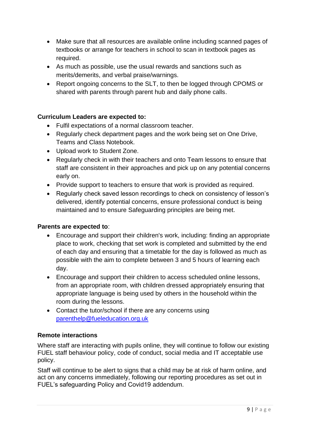- Make sure that all resources are available online including scanned pages of textbooks or arrange for teachers in school to scan in textbook pages as required.
- As much as possible, use the usual rewards and sanctions such as merits/demerits, and verbal praise/warnings.
- Report ongoing concerns to the SLT, to then be logged through CPOMS or shared with parents through parent hub and daily phone calls.

#### **Curriculum Leaders are expected to:**

- Fulfil expectations of a normal classroom teacher.
- Regularly check department pages and the work being set on One Drive, Teams and Class Notebook.
- Upload work to Student Zone.
- Regularly check in with their teachers and onto Team lessons to ensure that staff are consistent in their approaches and pick up on any potential concerns early on.
- Provide support to teachers to ensure that work is provided as required.
- Regularly check saved lesson recordings to check on consistency of lesson's delivered, identify potential concerns, ensure professional conduct is being maintained and to ensure Safeguarding principles are being met.

#### **Parents are expected to**:

- Encourage and support their children's work, including: finding an appropriate place to work, checking that set work is completed and submitted by the end of each day and ensuring that a timetable for the day is followed as much as possible with the aim to complete between 3 and 5 hours of learning each day.
- Encourage and support their children to access scheduled online lessons, from an appropriate room, with children dressed appropriately ensuring that appropriate language is being used by others in the household within the room during the lessons.
- Contact the tutor/school if there are any concerns using [parenthelp@fueleducation.org.uk](mailto:parenthelp@fueleducation.org.uk)

#### **Remote interactions**

Where staff are interacting with pupils online, they will continue to follow our existing FUEL staff behaviour policy, code of conduct, social media and IT acceptable use policy.

Staff will continue to be alert to signs that a child may be at risk of harm online, and act on any concerns immediately, following our reporting procedures as set out in FUEL's safeguarding Policy and Covid19 addendum.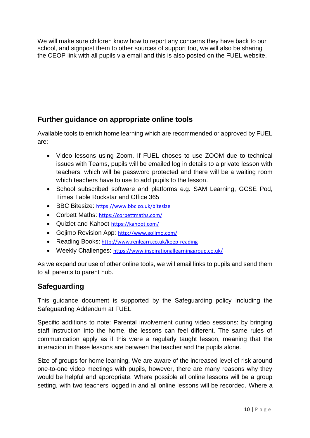We will make sure children know how to report any concerns they have back to our school, and signpost them to other sources of support too, we will also be sharing the CEOP link with all pupils via email and this is also posted on the FUEL website.

# **Further guidance on appropriate online tools**

Available tools to enrich home learning which are recommended or approved by FUEL are:

- Video lessons using Zoom. If FUEL choses to use ZOOM due to technical issues with Teams, pupils will be emailed log in details to a private lesson with teachers, which will be password protected and there will be a waiting room which teachers have to use to add pupils to the lesson.
- School subscribed software and platforms e.g. SAM Learning, GCSE Pod, Times Table Rockstar and Office 365
- BBC Bitesize: <https://www.bbc.co.uk/bitesize>
- Corbett Maths: <https://corbettmaths.com/>
- Quizlet and Kahoot <https://kahoot.com/>
- Gojimo Revision App: <http://www.gojimo.com/>
- Reading Books: <http://www.renlearn.co.uk/keep-reading>
- Weekly Challenges: <https://www.inspirationallearninggroup.co.uk/>

As we expand our use of other online tools, we will email links to pupils and send them to all parents to parent hub.

# **Safeguarding**

This guidance document is supported by the Safeguarding policy including the Safeguarding Addendum at FUEL.

Specific additions to note: Parental involvement during video sessions: by bringing staff instruction into the home, the lessons can feel different. The same rules of communication apply as if this were a regularly taught lesson, meaning that the interaction in these lessons are between the teacher and the pupils alone.

Size of groups for home learning. We are aware of the increased level of risk around one-to-one video meetings with pupils, however, there are many reasons why they would be helpful and appropriate. Where possible all online lessons will be a group setting, with two teachers logged in and all online lessons will be recorded. Where a